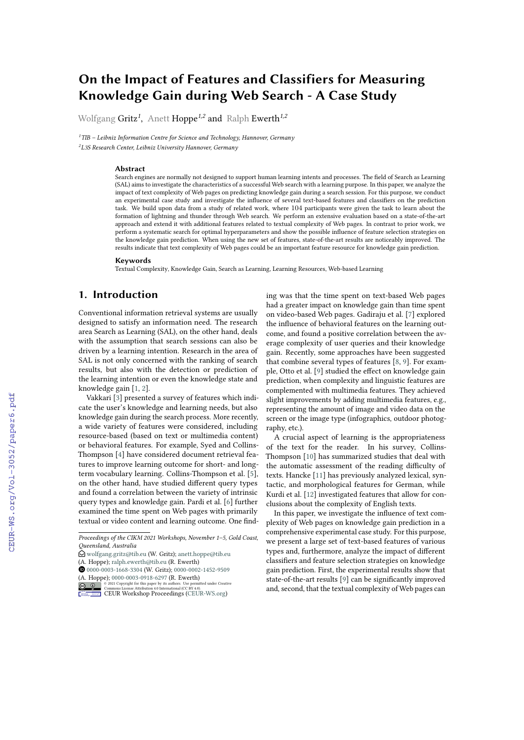# **On the Impact of Features and Classifiers for Measuring Knowledge Gain during Web Search - A Case Study**

Wolfgang Gritz*<sup>1</sup>* , Anett Hoppe*1,2* and Ralph Ewerth*1,2*

*<sup>1</sup>TIB – Leibniz Information Centre for Science and Technology, Hannover, Germany <sup>2</sup>L3S Research Center, Leibniz University Hannover, Germany*

#### **Abstract**

Search engines are normally not designed to support human learning intents and processes. The field of Search as Learning (SAL) aims to investigate the characteristics of a successful Web search with a learning purpose. In this paper, we analyze the impact of text complexity of Web pages on predicting knowledge gain during a search session. For this purpose, we conduct an experimental case study and investigate the influence of several text-based features and classifiers on the prediction task. We build upon data from a study of related work, where 104 participants were given the task to learn about the formation of lightning and thunder through Web search. We perform an extensive evaluation based on a state-of-the-art approach and extend it with additional features related to textual complexity of Web pages. In contrast to prior work, we perform a systematic search for optimal hyperparameters and show the possible inuence of feature selection strategies on the knowledge gain prediction. When using the new set of features, state-of-the-art results are noticeably improved. The results indicate that text complexity of Web pages could be an important feature resource for knowledge gain prediction.

#### **Keywords**

Textual Complexity, Knowledge Gain, Search as Learning, Learning Resources, Web-based Learning

# **1. Introduction**

Conventional information retrieval systems are usually designed to satisfy an information need. The research area Search as Learning (SAL), on the other hand, deals with the assumption that search sessions can also be driven by a learning intention. Research in the area of SAL is not only concerned with the ranking of search results, but also with the detection or prediction of the learning intention or even the knowledge state and knowledge gain [\[1,](#page--1-0) [2\]](#page--1-1).

Vakkari [\[3\]](#page--1-2) presented a survey of features which indicate the user's knowledge and learning needs, but also knowledge gain during the search process. More recently, a wide variety of features were considered, including resource-based (based on text or multimedia content) or behavioral features. For example, Syed and Collins-Thompson [\[4\]](#page--1-3) have considered document retrieval features to improve learning outcome for short- and longterm vocabulary learning. Collins-Thompson et al. [\[5\]](#page--1-4), on the other hand, have studied different query types and found a correlation between the variety of intrinsic query types and knowledge gain. Pardi et al. [\[6\]](#page--1-5) further examined the time spent on Web pages with primarily textual or video content and learning outcome. One finding was that the time spent on text-based Web pages had a greater impact on knowledge gain than time spent on video-based Web pages. Gadiraju et al. [\[7\]](#page--1-6) explored the influence of behavioral features on the learning outcome, and found a positive correlation between the average complexity of user queries and their knowledge gain. Recently, some approaches have been suggested that combine several types of features [\[8,](#page--1-7) [9\]](#page--1-8). For exam-ple, Otto et al. [\[9\]](#page--1-8) studied the effect on knowledge gain prediction, when complexity and linguistic features are complemented with multimedia features. They achieved slight improvements by adding multimedia features, e.g., representing the amount of image and video data on the screen or the image type (infographics, outdoor photography, etc.).

A crucial aspect of learning is the appropriateness of the text for the reader. In his survey, Collins-Thompson [\[10\]](#page--1-9) has summarized studies that deal with the automatic assessment of the reading difficulty of texts. Hancke [\[11\]](#page--1-10) has previously analyzed lexical, syntactic, and morphological features for German, while Kurdi et al. [\[12\]](#page--1-11) investigated features that allow for conclusions about the complexity of English texts.

In this paper, we investigate the influence of text complexity of Web pages on knowledge gain prediction in a comprehensive experimental case study. For this purpose, we present a large set of text-based features of various types and, furthermore, analyze the impact of different classifiers and feature selection strategies on knowledge gain prediction. First, the experimental results show that state-of-the-art results [\[9\]](#page--1-8) can be significantly improved and, second, that the textual complexity of Web pages can

*Proceedings of the CIKM 2021 Workshops, November 1–5, Gold Coast, Queensland, Australia*

<sup>&</sup>quot; [wolfgang.gritz@tib.eu](mailto:wolfgang.gritz@tib.eu) (W. Gritz); [anett.hoppe@tib.eu](mailto:anett.hoppe@tib.eu) (A. Hoppe); [ralph.ewerth@tib.eu](mailto:ralph.ewerth@tib.eu) (R. Ewerth)

[0000-0003-1668-3304](https://orcid.org/0000-0003-1668-3304) (W. Gritz); [0000-0002-1452-9509](https://orcid.org/0000-0002-1452-9509)

<sup>(</sup>A. Hoppe); [0000-0003-0918-6297](https://orcid.org/0000-0003-0918-6297) (R. Ewerth)

**D** 2 2021 Commons License Attribution 4.0 International (CC BY 4.0).<br>
COMMONS License Attribution 4.0 International (CC BY 4.0).<br> [CEUR](https://creativecommons.org/licenses/by/4.0) Workshop [Proceedings](http://ceur-ws.org) [\(CEUR-WS.org\)](http://ceur-ws.org)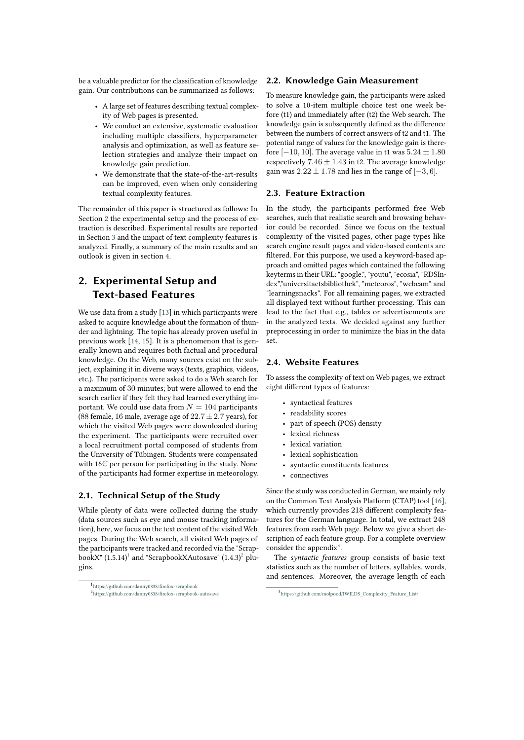be a valuable predictor for the classification of knowledge gain. Our contributions can be summarized as follows:

- A large set of features describing textual complexity of Web pages is presented.
- We conduct an extensive, systematic evaluation including multiple classifiers, hyperparameter analysis and optimization, as well as feature selection strategies and analyze their impact on knowledge gain prediction.
- We demonstrate that the state-of-the-art-results can be improved, even when only considering textual complexity features.

The remainder of this paper is structured as follows: In Section [2](#page-1-0) the experimental setup and the process of extraction is described. Experimental results are reported in Section [3](#page-2-0) and the impact of text complexity features is analyzed. Finally, a summary of the main results and an outlook is given in section [4.](#page-6-0)

# <span id="page-1-0"></span>**2. Experimental Setup and Text-based Features**

We use data from a study [\[13\]](#page-8-0) in which participants were asked to acquire knowledge about the formation of thunder and lightning. The topic has already proven useful in previous work [\[14,](#page-8-1) [15\]](#page-8-2). It is a phenomenon that is generally known and requires both factual and procedural knowledge. On the Web, many sources exist on the subject, explaining it in diverse ways (texts, graphics, videos, etc.). The participants were asked to do a Web search for a maximum of 30 minutes; but were allowed to end the search earlier if they felt they had learned everything important. We could use data from  $N = 104$  participants (88 female, 16 male, average age of  $22.7 \pm 2.7$  years), for which the visited Web pages were downloaded during the experiment. The participants were recruited over a local recruitment portal composed of students from the University of Tübingen. Students were compensated with  $16 \in \text{per person}$  for participating in the study. None of the participants had former expertise in meteorology.

#### **2.1. Technical Setup of the Study**

While plenty of data were collected during the study (data sources such as eye and mouse tracking information), here, we focus on the text content of the visited Web pages. During the Web search, all visited Web pages of the participants were tracked and recorded via the "Scrap-bookX" ([1](#page-1-1).5.14) $^{\rm l}$  and "ScrapbookXAutosave" (1.4.3) $^{\rm 2}$  $^{\rm 2}$  $^{\rm 2}$  plugins.

#### **2.2. Knowledge Gain Measurement**

To measure knowledge gain, the participants were asked to solve a 10-item multiple choice test one week before (t1) and immediately after (t2) the Web search. The knowledge gain is subsequently defined as the difference between the numbers of correct answers of t2 and t1. The potential range of values for the knowledge gain is therefore [−10, 10]. The average value in t1 was  $5.24 \pm 1.80$ respectively  $7.46 \pm 1.43$  in t2. The average knowledge gain was  $2.22 \pm 1.78$  and lies in the range of  $[-3, 6]$ .

#### **2.3. Feature Extraction**

In the study, the participants performed free Web searches, such that realistic search and browsing behavior could be recorded. Since we focus on the textual complexity of the visited pages, other page types like search engine result pages and video-based contents are filtered. For this purpose, we used a keyword-based approach and omitted pages which contained the following keyterms in their URL: "google.", "youtu", "ecosia", "RDSIndex","universitaetsbibliothek", "meteoros", "webcam" and "learningsnacks". For all remaining pages, we extracted all displayed text without further processing. This can lead to the fact that e.g., tables or advertisements are in the analyzed texts. We decided against any further preprocessing in order to minimize the bias in the data set.

#### **2.4. Website Features**

To assess the complexity of text on Web pages, we extract eight different types of features:

- syntactical features
- readability scores
- part of speech (POS) density
- lexical richness
- lexical variation
- lexical sophistication
- syntactic constituents features
- connectives

Since the study was conducted in German, we mainly rely on the Common Text Analysis Platform (CTAP) tool [\[16\]](#page-8-3), which currently provides 218 different complexity features for the German language. In total, we extract 248 features from each Web page. Below we give a short description of each feature group. For a complete overview consider the appendix $3$ .

The *syntactic features* group consists of basic text statistics such as the number of letters, syllables, words, and sentences. Moreover, the average length of each

<span id="page-1-2"></span><span id="page-1-1"></span><sup>1</sup>https://github.com/danny0838/firefox-scrapbook  $^2$ https://github.com/danny0838/firefox-scrapbook-autosave

<span id="page-1-3"></span><sup>3</sup> [https://github.com/molpood/IWILDS\\_Complexity\\_Feature\\_List/](https://github.com/molpood/IWILDS_Complexity_Feature_List/)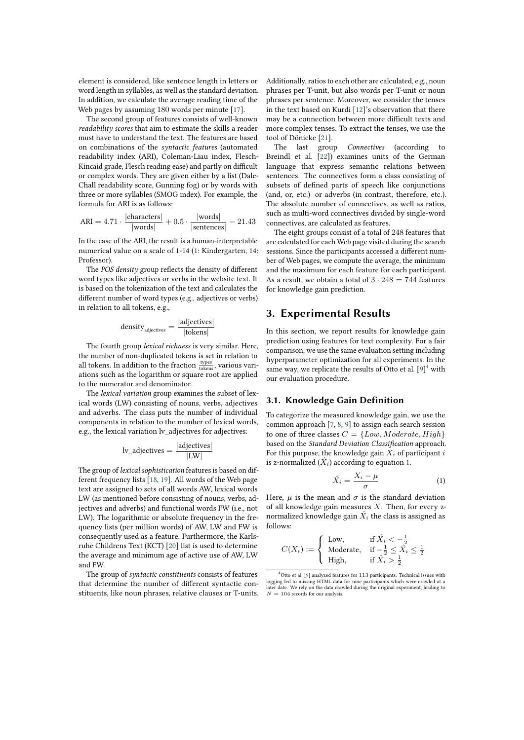element is considered, like sentence length in letters or word length in syllables, as well as the standard deviation. In addition, we calculate the average reading time of the Web pages by assuming 180 words per minute [\[17\]](#page-8-4).

The second group of features consists of well-known *readability scores* that aim to estimate the skills a reader must have to understand the text. The features are based on combinations of the *syntactic features* (automated readability index (ARI), Coleman-Liau index, Flesch-Kincaid grade, Flesch reading ease) and partly on difficult or complex words. They are given either by a list (Dale-Chall readability score, Gunning fog) or by words with three or more syllables (SMOG index). For example, the formula for ARI is as follows:

$$
ARI = 4.71 \cdot \frac{|\text{characters}|}{|\text{words}|} + 0.5 \cdot \frac{|\text{words}|}{|\text{sentences}|} - 21.43
$$

In the case of the ARI, the result is a human-interpretable numerical value on a scale of 1-14 (1: Kindergarten, 14: Professor).

The *POS density* group reflects the density of different word types like adjectives or verbs in the website text. It is based on the tokenization of the text and calculates the different number of word types (e.g., adjectives or verbs) in relation to all tokens, e.g.,

$$
density_{adjectives} = \frac{|adjectives|}{|tokens|}
$$

The fourth group *lexical richness* is very similar. Here, the number of non-duplicated tokens is set in relation to all tokens. In addition to the fraction  $\frac{\text{types}}{\text{tokens}}$ , various variations such as the logarithm or square root are applied to the numerator and denominator.

The *lexical variation* group examines the subset of lexical words (LW) consisting of nouns, verbs, adjectives and adverbs. The class puts the number of individual components in relation to the number of lexical words, e.g., the lexical variation lv adjectives for adjectives:

$$
lv\_adjectives = \frac{|adjectives|}{|LW|}
$$

The group of *lexical sophistication* features is based on different frequency lists [\[18,](#page-8-5) [19\]](#page-8-6). All words of the Web page text are assigned to sets of all words AW, lexical words LW (as mentioned before consisting of nouns, verbs, adjectives and adverbs) and functional words FW (i.e., not LW). The logarithmic or absolute frequency in the frequency lists (per million words) of AW, LW and FW is consequently used as a feature. Furthermore, the Karlsruhe Childrens Text (KCT) [\[20\]](#page-8-7) list is used to determine the average and minimum age of active use of AW, LW and FW.

The group of *syntactic constituents* consists of features that determine the number of different syntactic constituents, like noun phrases, relative clauses or T-units. Additionally, ratios to each other are calculated, e.g., noun phrases per T-unit, but also words per T-unit or noun phrases per sentence. Moreover, we consider the tenses in the text based on Kurdi [\[12\]](#page-8-8)'s observation that there may be a connection between more difficult texts and more complex tenses. To extract the tenses, we use the tool of Dönicke [\[21\]](#page-8-9).

The last group *Connectives* (according to Breindl et al. [\[22\]](#page-8-10)) examines units of the German language that express semantic relations between sentences. The connectives form a class consisting of subsets of defined parts of speech like conjunctions (and, or, etc.) or adverbs (in contrast, therefore, etc.). The absolute number of connectives, as well as ratios, such as multi-word connectives divided by single-word connectives, are calculated as features.

The eight groups consist of a total of 248 features that are calculated for each Web page visited during the search sessions. Since the participants accessed a different number of Web pages, we compute the average, the minimum and the maximum for each feature for each participant. As a result, we obtain a total of  $3 \cdot 248 = 744$  features for knowledge gain prediction.

### <span id="page-2-0"></span>**3. Experimental Results**

In this section, we report results for knowledge gain prediction using features for text complexity. For a fair comparison, we use the same evaluation setting including hyperparameter optimization for all experiments. In the same way, we replicate the results of Otto et al.  $[9]^4$  $[9]^4$  $[9]^4$  with our evaluation procedure.

### **3.1. Knowledge Gain Definition**

To categorize the measured knowledge gain, we use the common approach [\[7,](#page-7-1) [8,](#page-7-2) [9\]](#page-7-0) to assign each search session to one of three classes  $C = \{Low, Moderate, High\}$ based on the *Standard Deviation Classification* approach. For this purpose, the knowledge gain  $X_i$  of participant  $i$ is z-normalized  $(X_i)$  according to equation [1.](#page-2-2)

<span id="page-2-2"></span>
$$
\hat{X}_i = \frac{X_i - \mu}{\sigma} \tag{1}
$$

Here,  $\mu$  is the mean and  $\sigma$  is the standard deviation of all knowledge gain measures  $X$ . Then, for every znormalized knowledge gain  $\hat{X}_i$  the class is assigned as follows:

$$
C(X_i) := \left\{ \begin{array}{ll} \text{Low}, & \text{if } \hat{X_i} < -\frac{1}{2} \\ \text{Modern}, & \text{if } -\frac{1}{2} \leq \hat{X_i} \leq \frac{1}{2} \\ \text{High}, & \text{if } \hat{X_i} > \frac{1}{2} \end{array} \right.
$$

<span id="page-2-1"></span> $4$ Otto et al. [\[9\]](#page-7-0) analyzed features for 113 participants. Technical issues with logging led to missing HTML data for nine participants which were crawled at a later date. We rely on the data crawled during the original experiment, leading to  $N = 104$  records for our analysis.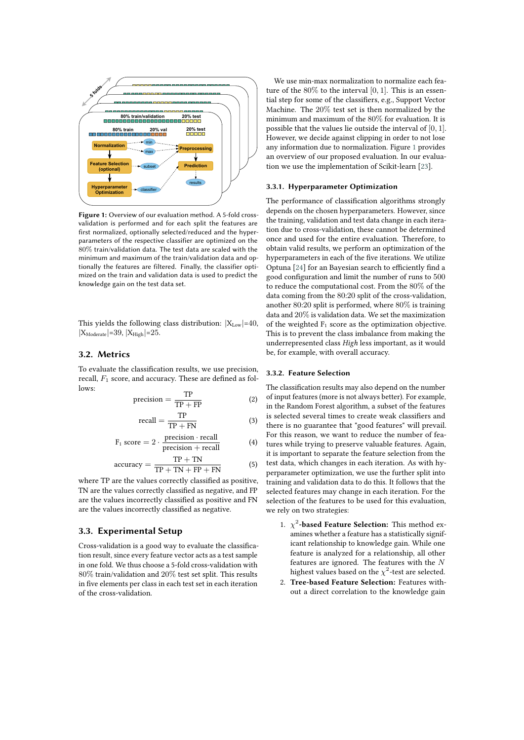

<span id="page-3-0"></span>**Figure 1:** Overview of our evaluation method. A 5-fold crossvalidation is performed and for each split the features are first normalized, optionally selected/reduced and the hyperparameters of the respective classifier are optimized on the 80% train/validation data. The test data are scaled with the minimum and maximum of the train/validation data and optionally the features are filtered. Finally, the classifier optimized on the train and validation data is used to predict the knowledge gain on the test data set.

This yields the following class distribution:  $|X_{Low}|=40$ ,  $|X_{\text{Model}}|=39, |X_{\text{High}}|=25.$ 

### **3.2. Metrics**

To evaluate the classification results, we use precision, recall,  $F_1$  score, and accuracy. These are defined as follows:

$$
precision = \frac{TP}{TP + FP}
$$
 (2)

$$
recall = \frac{TP}{TP + FN}
$$
 (3)

$$
F_1 \text{ score} = 2 \cdot \frac{\text{precision} \cdot \text{recall}}{\text{precision} + \text{recall}} \tag{4}
$$

accuracy = 
$$
\frac{\text{TP} + \text{TN}}{\text{TP} + \text{TN} + \text{FP} + \text{FN}}
$$
 (5)

where TP are the values correctly classified as positive, TN are the values correctly classified as negative, and FP are the values incorrectly classified as positive and FN are the values incorrectly classified as negative.

#### **3.3. Experimental Setup**

Cross-validation is a good way to evaluate the classification result, since every feature vector acts as a test sample in one fold. We thus choose a 5-fold cross-validation with 80% train/validation and 20% test set split. This results in five elements per class in each test set in each iteration of the cross-validation.

We use min-max normalization to normalize each feature of the  $80\%$  to the interval [0, 1]. This is an essential step for some of the classifiers, e.g., Support Vector Machine. The 20% test set is then normalized by the minimum and maximum of the 80% for evaluation. It is possible that the values lie outside the interval of [0, 1]. However, we decide against clipping in order to not lose any information due to normalization. Figure [1](#page-3-0) provides an overview of our proposed evaluation. In our evaluation we use the implementation of Scikit-learn [\[23\]](#page-8-11).

#### <span id="page-3-1"></span>**3.3.1. Hyperparameter Optimization**

The performance of classification algorithms strongly depends on the chosen hyperparameters. However, since the training, validation and test data change in each iteration due to cross-validation, these cannot be determined once and used for the entire evaluation. Therefore, to obtain valid results, we perform an optimization of the hyperparameters in each of the five iterations. We utilize Optuna [\[24\]](#page-8-12) for an Bayesian search to efficiently find a good configuration and limit the number of runs to 500 to reduce the computational cost. From the 80% of the data coming from the 80:20 split of the cross-validation, another 80:20 split is performed, where 80% is training data and 20% is validation data. We set the maximization of the weighted  $F_1$  score as the optimization objective. This is to prevent the class imbalance from making the underrepresented class *High* less important, as it would be, for example, with overall accuracy.

#### **3.3.2. Feature Selection**

The classification results may also depend on the number of input features (more is not always better). For example, in the Random Forest algorithm, a subset of the features is selected several times to create weak classifiers and there is no guarantee that "good features" will prevail. For this reason, we want to reduce the number of features while trying to preserve valuable features. Again, it is important to separate the feature selection from the test data, which changes in each iteration. As with hyperparameter optimization, we use the further split into training and validation data to do this. It follows that the selected features may change in each iteration. For the selection of the features to be used for this evaluation, we rely on two strategies:

- 1.  $\chi^2$ -**based Feature Selection:** This method examines whether a feature has a statistically significant relationship to knowledge gain. While one feature is analyzed for a relationship, all other features are ignored. The features with the  $N$ highest values based on the  $\chi^2$ -test are selected.
- 2. **Tree-based Feature Selection:** Features without a direct correlation to the knowledge gain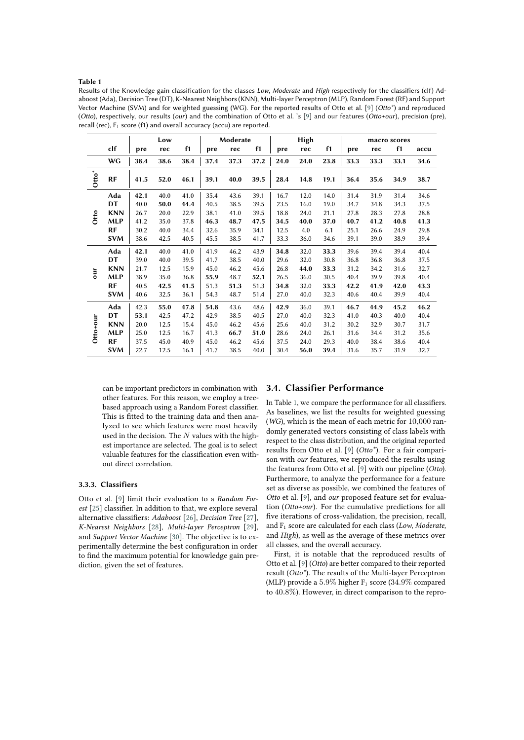#### **Table 1**

<span id="page-4-0"></span>Results of the Knowledge gain classification for the classes Low, Moderate and High respectively for the classifiers (clf) Adaboost (Ada), Decision Tree (DT), K-Nearest Neighbors (KNN), Multi-layer Perceptron (MLP), Random Forest (RF) and Support Vector Machine (SVM) and for weighted guessing (WG). For the reported results of Otto et al. [\[9\]](#page-7-0) (*Otto\**) and reproduced (*Otto*), respectively, our results (*our*) and the combination of Otto et al. 's [\[9\]](#page-7-0) and our features (*Otto+our*), precision (pre), recall (rec),  $F_1$  score (f1) and overall accuracy (accu) are reported.

|          |            | Low  |      |      | Moderate |      |      | High |      |      | macro scores |      |      |      |
|----------|------------|------|------|------|----------|------|------|------|------|------|--------------|------|------|------|
|          | clf        | pre  | rec  | f1   | pre      | rec  | f1   | pre  | rec  | f1   | pre          | rec  | f1   | accu |
|          | <b>WG</b>  | 38.4 | 38.6 | 38.4 | 37.4     | 37.3 | 37.2 | 24.0 | 24.0 | 23.8 | 33.3         | 33.3 | 33.1 | 34.6 |
| $Otto^*$ | <b>RF</b>  | 41.5 | 52.0 | 46.1 | 39.1     | 40.0 | 39.5 | 28.4 | 14.8 | 19.1 | 36.4         | 35.6 | 34.9 | 38.7 |
| Otto     | Ada        | 42.1 | 40.0 | 41.0 | 35.4     | 43.6 | 39.1 | 16.7 | 12.0 | 14.0 | 31.4         | 31.9 | 31.4 | 34.6 |
|          | DT         | 40.0 | 50.0 | 44.4 | 40.5     | 38.5 | 39.5 | 23.5 | 16.0 | 19.0 | 34.7         | 34.8 | 34.3 | 37.5 |
|          | <b>KNN</b> | 26.7 | 20.0 | 22.9 | 38.1     | 41.0 | 39.5 | 18.8 | 24.0 | 21.1 | 27.8         | 28.3 | 27.8 | 28.8 |
|          | <b>MLP</b> | 41.2 | 35.0 | 37.8 | 46.3     | 48.7 | 47.5 | 34.5 | 40.0 | 37.0 | 40.7         | 41.2 | 40.8 | 41.3 |
|          | <b>RF</b>  | 30.2 | 40.0 | 34.4 | 32.6     | 35.9 | 34.1 | 12.5 | 4.0  | 6.1  | 25.1         | 26.6 | 24.9 | 29.8 |
|          | <b>SVM</b> | 38.6 | 42.5 | 40.5 | 45.5     | 38.5 | 41.7 | 33.3 | 36.0 | 34.6 | 39.1         | 39.0 | 38.9 | 39.4 |
|          | Ada        | 42.1 | 40.0 | 41.0 | 41.9     | 46.2 | 43.9 | 34.8 | 32.0 | 33.3 | 39.6         | 39.4 | 39.4 | 40.4 |
|          | DT         | 39.0 | 40.0 | 39.5 | 41.7     | 38.5 | 40.0 | 29.6 | 32.0 | 30.8 | 36.8         | 36.8 | 36.8 | 37.5 |
| Jmo      | <b>KNN</b> | 21.7 | 12.5 | 15.9 | 45.0     | 46.2 | 45.6 | 26.8 | 44.0 | 33.3 | 31.2         | 34.2 | 31.6 | 32.7 |
|          | <b>MLP</b> | 38.9 | 35.0 | 36.8 | 55.9     | 48.7 | 52.1 | 26.5 | 36.0 | 30.5 | 40.4         | 39.9 | 39.8 | 40.4 |
|          | <b>RF</b>  | 40.5 | 42.5 | 41.5 | 51.3     | 51.3 | 51.3 | 34.8 | 32.0 | 33.3 | 42.2         | 41.9 | 42.0 | 43.3 |
|          | <b>SVM</b> | 40.6 | 32.5 | 36.1 | 54.3     | 48.7 | 51.4 | 27.0 | 40.0 | 32.3 | 40.6         | 40.4 | 39.9 | 40.4 |
| Otto+our | Ada        | 42.3 | 55.0 | 47.8 | 54.8     | 43.6 | 48.6 | 42.9 | 36.0 | 39.1 | 46.7         | 44.9 | 45.2 | 46.2 |
|          | DT         | 53.1 | 42.5 | 47.2 | 42.9     | 38.5 | 40.5 | 27.0 | 40.0 | 32.3 | 41.0         | 40.3 | 40.0 | 40.4 |
|          | <b>KNN</b> | 20.0 | 12.5 | 15.4 | 45.0     | 46.2 | 45.6 | 25.6 | 40.0 | 31.2 | 30.2         | 32.9 | 30.7 | 31.7 |
|          | <b>MLP</b> | 25.0 | 12.5 | 16.7 | 41.3     | 66.7 | 51.0 | 28.6 | 24.0 | 26.1 | 31.6         | 34.4 | 31.2 | 35.6 |
|          | <b>RF</b>  | 37.5 | 45.0 | 40.9 | 45.0     | 46.2 | 45.6 | 37.5 | 24.0 | 29.3 | 40.0         | 38.4 | 38.6 | 40.4 |
|          | <b>SVM</b> | 22.7 | 12.5 | 16.1 | 41.7     | 38.5 | 40.0 | 30.4 | 56.0 | 39.4 | 31.6         | 35.7 | 31.9 | 32.7 |

can be important predictors in combination with other features. For this reason, we employ a treebased approach using a Random Forest classifier. This is fitted to the training data and then analyzed to see which features were most heavily used in the decision. The  $N$  values with the highest importance are selected. The goal is to select valuable features for the classification even without direct correlation.

#### **3.3.3. Classifiers**

Otto et al. [\[9\]](#page-7-0) limit their evaluation to a *Random For-*est [\[25\]](#page-8-13) classifier. In addition to that, we explore several alternative classifiers: *Adaboost* [\[26\]](#page-8-14), *Decision Tree* [\[27\]](#page-8-15), *K-Nearest Neighbors* [\[28\]](#page-8-16), *Multi-layer Perceptron* [\[29\]](#page-9-0), and *Support Vector Machine* [\[30\]](#page-9-1). The objective is to experimentally determine the best configuration in order to find the maximum potential for knowledge gain prediction, given the set of features.

#### **3.4. Classifier Performance**

In Table [1,](#page-4-0) we compare the performance for all classifiers. As baselines, we list the results for weighted guessing (*WG*), which is the mean of each metric for 10,000 randomly generated vectors consisting of class labels with respect to the class distribution, and the original reported results from Otto et al. [\[9\]](#page-7-0) (*Otto\**). For a fair comparison with *our* features, we reproduced the results using the features from Otto et al. [\[9\]](#page-7-0) with our pipeline (*Otto*). Furthermore, to analyze the performance for a feature set as diverse as possible, we combined the features of *Otto* et al. [\[9\]](#page-7-0), and *our* proposed feature set for evaluation (*Otto+our*). For the cumulative predictions for all five iterations of cross-validation, the precision, recall, and F<sup>1</sup> score are calculated for each class (*Low*, *Moderate*, and *High*), as well as the average of these metrics over all classes, and the overall accuracy.

First, it is notable that the reproduced results of Otto et al. [\[9\]](#page-7-0) (*Otto*) are better compared to their reported result (*Otto\**). The results of the Multi-layer Perceptron (MLP) provide a  $5.9\%$  higher  $F_1$  score (34.9% compared to 40.8%). However, in direct comparison to the repro-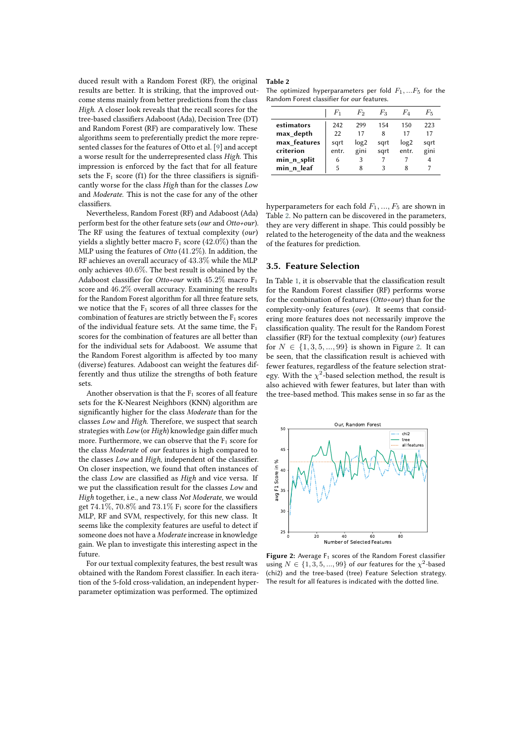duced result with a Random Forest (RF), the original results are better. It is striking, that the improved outcome stems mainly from better predictions from the class *High*. A closer look reveals that the recall scores for the tree-based classifiers Adaboost (Ada), Decision Tree (DT) and Random Forest (RF) are comparatively low. These algorithms seem to preferentially predict the more represented classes for the features of Otto et al. [\[9\]](#page-7-0) and accept a worse result for the underrepresented class *High*. This impression is enforced by the fact that for all feature sets the  $F_1$  score (f1) for the three classifiers is significantly worse for the class *High* than for the classes *Low* and *Moderate*. This is not the case for any of the other classifiers.

Nevertheless, Random Forest (RF) and Adaboost (Ada) perform best for the other feature sets (*our* and *Otto+our*). The RF using the features of textual complexity (*our*) yields a slightly better macro  $F_1$  score (42.0%) than the MLP using the features of *Otto* (41.2%). In addition, the RF achieves an overall accuracy of 43.3% while the MLP only achieves 40.6%. The best result is obtained by the Adaboost classifier for *Otto+our* with 45.2% macro F<sub>1</sub> score and 46.2% overall accuracy. Examining the results for the Random Forest algorithm for all three feature sets, we notice that the  $F_1$  scores of all three classes for the combination of features are strictly between the  $F_1$  scores of the individual feature sets. At the same time, the  $F_1$ scores for the combination of features are all better than for the individual sets for Adaboost. We assume that the Random Forest algorithm is affected by too many (diverse) features. Adaboost can weight the features differently and thus utilize the strengths of both feature sets.

Another observation is that the  $F_1$  scores of all feature sets for the K-Nearest Neighbors (KNN) algorithm are significantly higher for the class *Moderate* than for the classes *Low* and *High*. Therefore, we suspect that search strategies with *Low* (or *High*) knowledge gain differ much more. Furthermore, we can observe that the  $F_1$  score for the class *Moderate* of *our* features is high compared to the classes *Low* and *High*, independent of the classifier. On closer inspection, we found that often instances of the class *Low* are classified as *High* and vice versa. If we put the classification result for the classes *Low* and *High* together, i.e., a new class *Not Moderate*, we would get 74.1%, 70.8% and 73.1%  $F_1$  score for the classifiers MLP, RF and SVM, respectively, for this new class. It seems like the complexity features are useful to detect if someone does not have a *Moderate* increase in knowledge gain. We plan to investigate this interesting aspect in the future.

For our textual complexity features, the best result was obtained with the Random Forest classifier. In each iteration of the 5-fold cross-validation, an independent hyperparameter optimization was performed. The optimized

#### **Table 2**

<span id="page-5-0"></span>The optimized hyperparameters per fold  $F_1, ... F_5$  for the Random Forest classifier for *our* features.

|              | F1    | F2               | Fз   | Fά               | $F_{5}$ |
|--------------|-------|------------------|------|------------------|---------|
| estimators   | 242   | 299              | 154  | 150              | 223     |
| max depth    | 22    | 17               | 8    | 17               | 17      |
| max features | sqrt  | log <sub>2</sub> | sgrt | log <sub>2</sub> | sqrt    |
| criterion    | entr. | gini             | sqrt | entr.            | gini    |
| min_n_split  | 6     | 3                |      |                  |         |
| min n leaf   | 5     | 8                | 3    |                  |         |

hyperparameters for each fold  $F_1, ..., F_5$  are shown in Table [2.](#page-5-0) No pattern can be discovered in the parameters, they are very different in shape. This could possibly be related to the heterogeneity of the data and the weakness of the features for prediction.

#### **3.5. Feature Selection**

In Table [1,](#page-4-0) it is observable that the classification result for the Random Forest classifier (RF) performs worse for the combination of features (*Otto+our*) than for the complexity-only features (*our*). It seems that considering more features does not necessarily improve the classification quality. The result for the Random Forest classifier (RF) for the textual complexity (*our*) features for  $N \in \{1, 3, 5, ..., 99\}$  is shown in Figure [2.](#page-5-1) It can be seen, that the classification result is achieved with fewer features, regardless of the feature selection strategy. With the  $\chi^2$ -based selection method, the result is also achieved with fewer features, but later than with the tree-based method. This makes sense in so far as the



<span id="page-5-1"></span>**Figure 2:** Average F<sub>1</sub> scores of the Random Forest classifier using  $N \in \{1, 3, 5, ..., 99\}$  of *our* features for the  $\chi^2$ -based (chi2) and the tree-based (tree) Feature Selection strategy. The result for all features is indicated with the dotted line.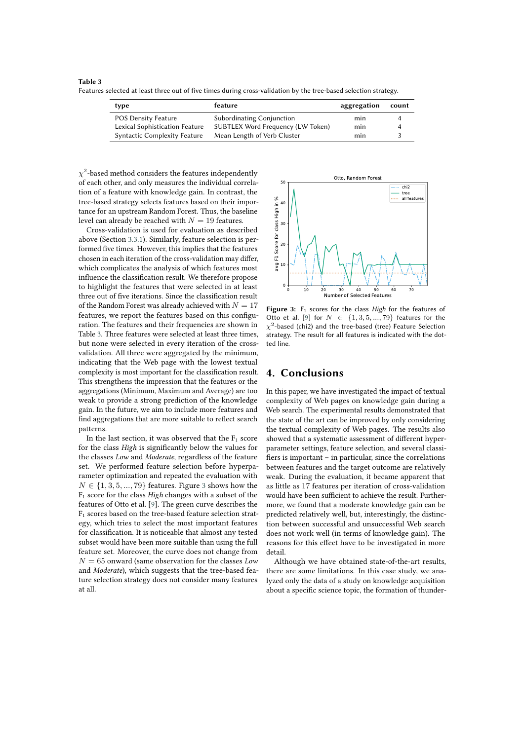**Table 3**

<span id="page-6-1"></span>Features selected at least three out of five times during cross-validation by the tree-based selection strategy.

| type                                | feature                           | aggregation | count |
|-------------------------------------|-----------------------------------|-------------|-------|
| POS Density Feature                 | Subordinating Conjunction         | min         |       |
| Lexical Sophistication Feature      | SUBTLEX Word Frequency (LW Token) | min         |       |
| <b>Syntactic Complexity Feature</b> | Mean Length of Verb Cluster       | min         |       |

 $\chi^2$ -based method considers the features independently of each other, and only measures the individual correlation of a feature with knowledge gain. In contrast, the tree-based strategy selects features based on their importance for an upstream Random Forest. Thus, the baseline level can already be reached with  $N = 19$  features.

Cross-validation is used for evaluation as described above (Section [3.3.1\)](#page-3-1). Similarly, feature selection is performed five times. However, this implies that the features chosen in each iteration of the cross-validation may differ, which complicates the analysis of which features most influence the classification result. We therefore propose to highlight the features that were selected in at least three out of five iterations. Since the classification result of the Random Forest was already achieved with  $N = 17$ features, we report the features based on this configuration. The features and their frequencies are shown in Table [3.](#page-6-1) Three features were selected at least three times, but none were selected in every iteration of the crossvalidation. All three were aggregated by the minimum, indicating that the Web page with the lowest textual complexity is most important for the classification result. This strengthens the impression that the features or the aggregations (Minimum, Maximum and Average) are too weak to provide a strong prediction of the knowledge gain. In the future, we aim to include more features and find aggregations that are more suitable to reflect search patterns.

In the last section, it was observed that the  $F_1$  score for the class *High* is signicantly below the values for the classes *Low* and *Moderate*, regardless of the feature set. We performed feature selection before hyperparameter optimization and repeated the evaluation with  $N \in \{1, 3, 5, ..., 79\}$  $N \in \{1, 3, 5, ..., 79\}$  $N \in \{1, 3, 5, ..., 79\}$  features. Figure 3 shows how the F<sup>1</sup> score for the class *High* changes with a subset of the features of Otto et al. [\[9\]](#page-7-0). The green curve describes the F<sup>1</sup> scores based on the tree-based feature selection strategy, which tries to select the most important features for classification. It is noticeable that almost any tested subset would have been more suitable than using the full feature set. Moreover, the curve does not change from  $N = 65$  onward (same observation for the classes *Low* and *Moderate*), which suggests that the tree-based feature selection strategy does not consider many features at all.



<span id="page-6-2"></span>Figure 3: F<sub>1</sub> scores for the class *High* for the features of Otto et al. [\[9\]](#page-7-0) for  $N \in \{1, 3, 5, ..., 79\}$  features for the  $\chi^2$ -based (chi2) and the tree-based (tree) Feature Selection strategy. The result for all features is indicated with the dotted line.

### <span id="page-6-0"></span>**4. Conclusions**

In this paper, we have investigated the impact of textual complexity of Web pages on knowledge gain during a Web search. The experimental results demonstrated that the state of the art can be improved by only considering the textual complexity of Web pages. The results also showed that a systematic assessment of different hyperparameter settings, feature selection, and several classi fiers is important – in particular, since the correlations between features and the target outcome are relatively weak. During the evaluation, it became apparent that as little as 17 features per iteration of cross-validation would have been sufficient to achieve the result. Furthermore, we found that a moderate knowledge gain can be predicted relatively well, but, interestingly, the distinction between successful and unsuccessful Web search does not work well (in terms of knowledge gain). The reasons for this effect have to be investigated in more detail.

Although we have obtained state-of-the-art results, there are some limitations. In this case study, we analyzed only the data of a study on knowledge acquisition about a specific science topic, the formation of thunder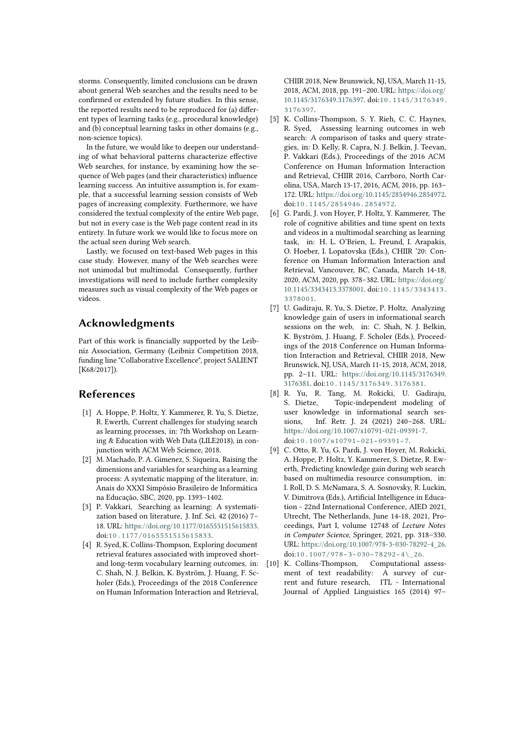storms. Consequently, limited conclusions can be drawn about general Web searches and the results need to be confirmed or extended by future studies. In this sense, the reported results need to be reproduced for (a) different types of learning tasks (e.g., procedural knowledge) and (b) conceptual learning tasks in other domains (e.g., non-science topics).

In the future, we would like to deepen our understanding of what behavioral patterns characterize effective Web searches, for instance, by examining how the sequence of Web pages (and their characteristics) influence learning success. An intuitive assumption is, for example, that a successful learning session consists of Web pages of increasing complexity. Furthermore, we have considered the textual complexity of the entire Web page, but not in every case is the Web page content read in its entirety. In future work we would like to focus more on the actual seen during Web search.

Lastly, we focused on text-based Web pages in this case study. However, many of the Web searches were not unimodal but multimodal. Consequently, further investigations will need to include further complexity measures such as visual complexity of the Web pages or videos.

## **Acknowledgments**

Part of this work is financially supported by the Leibniz Association, Germany (Leibniz Competition 2018, funding line "Collaborative Excellence", project SALIENT [K68/2017]).

# **References**

- [1] A. Hoppe, P. Holtz, Y. Kammerer, R. Yu, S. Dietze, R. Ewerth, Current challenges for studying search as learning processes, in: 7th Workshop on Learning & Education with Web Data (LILE2018), in conjunction with ACM Web Science, 2018.
- [2] M. Machado, P. A. Gimenez, S. Siqueira, Raising the dimensions and variables for searching as a learning process: A systematic mapping of the literature, in: Anais do XXXI Simpósio Brasileiro de Informática na Educação, SBC, 2020, pp. 1393–1402.
- [3] P. Vakkari, Searching as learning: A systematization based on literature, J. Inf. Sci. 42 (2016) 7– 18. URL: [https://doi.org/10.1177/0165551515615833.](https://doi.org/10.1177/0165551515615833) doi:[10.1177/0165551515615833](http://dx.doi.org/10.1177/0165551515615833).
- [4] R. Syed, K. Collins-Thompson, Exploring document retrieval features associated with improved shortand long-term vocabulary learning outcomes, in: C. Shah, N. J. Belkin, K. Byström, J. Huang, F. Scholer (Eds.), Proceedings of the 2018 Conference on Human Information Interaction and Retrieval,

CHIIR 2018, New Brunswick, NJ, USA, March 11-15, 2018, ACM, 2018, pp. 191–200. URL: [https://doi.org/](https://doi.org/10.1145/3176349.3176397) [10.1145/3176349.3176397.](https://doi.org/10.1145/3176349.3176397) doi:[10.1145/3176349.](http://dx.doi.org/10.1145/3176349.3176397) [3176397](http://dx.doi.org/10.1145/3176349.3176397).

- [5] K. Collins-Thompson, S. Y. Rieh, C. C. Haynes, R. Syed, Assessing learning outcomes in web search: A comparison of tasks and query strategies, in: D. Kelly, R. Capra, N. J. Belkin, J. Teevan, P. Vakkari (Eds.), Proceedings of the 2016 ACM Conference on Human Information Interaction and Retrieval, CHIIR 2016, Carrboro, North Carolina, USA, March 13-17, 2016, ACM, 2016, pp. 163– 172. URL: [https://doi.org/10.1145/2854946.2854972.](https://doi.org/10.1145/2854946.2854972) doi:[10.1145/2854946.2854972](http://dx.doi.org/10.1145/2854946.2854972).
- [6] G. Pardi, J. von Hoyer, P. Holtz, Y. Kammerer, The role of cognitive abilities and time spent on texts and videos in a multimodal searching as learning task, in: H. L. O'Brien, L. Freund, I. Arapakis, O. Hoeber, I. Lopatovska (Eds.), CHIIR '20: Conference on Human Information Interaction and Retrieval, Vancouver, BC, Canada, March 14-18, 2020, ACM, 2020, pp. 378–382. URL: [https://doi.org/](https://doi.org/10.1145/3343413.3378001) [10.1145/3343413.3378001.](https://doi.org/10.1145/3343413.3378001) doi:[10.1145/3343413.](http://dx.doi.org/10.1145/3343413.3378001) [3378001](http://dx.doi.org/10.1145/3343413.3378001).
- <span id="page-7-1"></span>[7] U. Gadiraju, R. Yu, S. Dietze, P. Holtz, Analyzing knowledge gain of users in informational search sessions on the web, in: C. Shah, N. J. Belkin, K. Byström, J. Huang, F. Scholer (Eds.), Proceedings of the 2018 Conference on Human Information Interaction and Retrieval, CHIIR 2018, New Brunswick, NJ, USA, March 11-15, 2018, ACM, 2018, pp. 2–11. URL: [https://doi.org/10.1145/3176349.](https://doi.org/10.1145/3176349.3176381) [3176381.](https://doi.org/10.1145/3176349.3176381) doi:[10.1145/3176349.3176381](http://dx.doi.org/10.1145/3176349.3176381).
- <span id="page-7-2"></span>[8] R. Yu, R. Tang, M. Rokicki, U. Gadiraju, S. Dietze, Topic-independent modeling of user knowledge in informational search sessions, Inf. Retr. J. 24 (2021) 240–268. URL: [https://doi.org/10.1007/s10791-021-09391-7.](https://doi.org/10.1007/s10791-021-09391-7) doi:[10.1007/s10791-021-09391-7](http://dx.doi.org/10.1007/s10791-021-09391-7).
- <span id="page-7-0"></span>[9] C. Otto, R. Yu, G. Pardi, J. von Hoyer, M. Rokicki, A. Hoppe, P. Holtz, Y. Kammerer, S. Dietze, R. Ewerth, Predicting knowledge gain during web search based on multimedia resource consumption, in: I. Roll, D. S. McNamara, S. A. Sosnovsky, R. Luckin, V. Dimitrova (Eds.), Artificial Intelligence in Education - 22nd International Conference, AIED 2021, Utrecht, The Netherlands, June 14-18, 2021, Proceedings, Part I, volume 12748 of *Lecture Notes in Computer Science*, Springer, 2021, pp. 318–330. URL: [https://doi.org/10.1007/978-3-030-78292-4\\_26.](https://doi.org/10.1007/978-3-030-78292-4_26) doi:10.1007/978-3-030-78292-4\26.
- [10] K. Collins-Thompson, Computational assessment of text readability: A survey of current and future research, ITL - International Journal of Applied Linguistics 165 (2014) 97–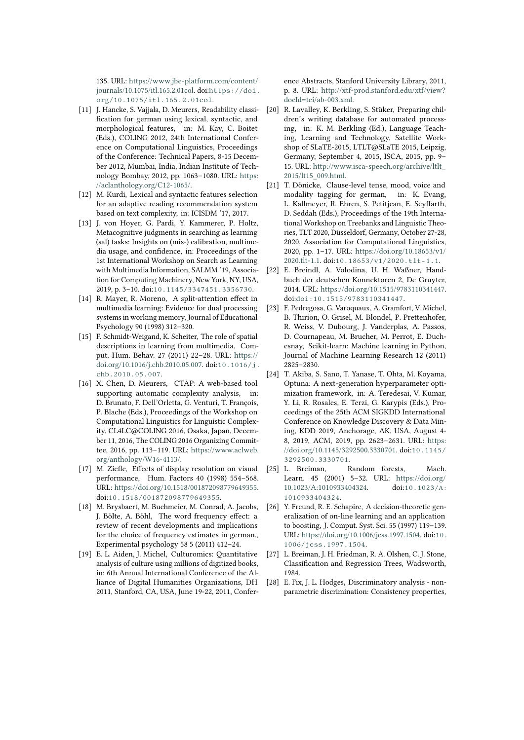135. URL: [https://www.jbe-platform.com/content/](https://www.jbe-platform.com/content/journals/10.1075/itl.165.2.01col) [journals/10.1075/itl.165.2.01col.](https://www.jbe-platform.com/content/journals/10.1075/itl.165.2.01col) doi:[https://doi.](http://dx.doi.org/https://doi.org/10.1075/itl.165.2.01col) [org/10.1075/itl.165.2.01col](http://dx.doi.org/https://doi.org/10.1075/itl.165.2.01col).

- [11] J. Hancke, S. Vajjala, D. Meurers, Readability classi fication for german using lexical, syntactic, and morphological features, in: M. Kay, C. Boitet (Eds.), COLING 2012, 24th International Conference on Computational Linguistics, Proceedings of the Conference: Technical Papers, 8-15 December 2012, Mumbai, India, Indian Institute of Technology Bombay, 2012, pp. 1063–1080. URL: [https:](https://aclanthology.org/C12-1065/) [//aclanthology.org/C12-1065/.](https://aclanthology.org/C12-1065/)
- <span id="page-8-8"></span>[12] M. Kurdi, Lexical and syntactic features selection for an adaptive reading recommendation system based on text complexity, in: ICISDM '17, 2017.
- <span id="page-8-0"></span>[13] J. von Hoyer, G. Pardi, Y. Kammerer, P. Holtz, Metacognitive judgments in searching as learning (sal) tasks: Insights on (mis-) calibration, multimedia usage, and confidence, in: Proceedings of the 1st International Workshop on Search as Learning with Multimedia Information, SALMM '19, Association for Computing Machinery, New York, NY, USA, 2019, p. 3–10. doi:[10.1145/3347451.3356730](http://dx.doi.org/10.1145/3347451.3356730).
- <span id="page-8-1"></span>[14] R. Mayer, R. Moreno, A split-attention effect in multimedia learning: Evidence for dual processing systems in working memory, Journal of Educational Psychology 90 (1998) 312–320.
- <span id="page-8-2"></span>[15] F. Schmidt-Weigand, K. Scheiter, The role of spatial descriptions in learning from multimedia, Comput. Hum. Behav. 27 (2011) 22–28. URL: [https://](https://doi.org/10.1016/j.chb.2010.05.007) [doi.org/10.1016/j.chb.2010.05.007.](https://doi.org/10.1016/j.chb.2010.05.007) doi:[10.1016/j.](http://dx.doi.org/10.1016/j.chb.2010.05.007) [chb.2010.05.007](http://dx.doi.org/10.1016/j.chb.2010.05.007).
- <span id="page-8-3"></span>[16] X. Chen, D. Meurers, CTAP: A web-based tool supporting automatic complexity analysis, in: D. Brunato, F. Dell'Orletta, G. Venturi, T. François, P. Blache (Eds.), Proceedings of the Workshop on Computational Linguistics for Linguistic Complexity, CL4LC@COLING 2016, Osaka, Japan, December 11, 2016, The COLING 2016 Organizing Committee, 2016, pp. 113–119. URL: [https://www.aclweb.](https://www.aclweb.org/anthology/W16-4113/) [org/anthology/W16-4113/.](https://www.aclweb.org/anthology/W16-4113/)
- <span id="page-8-4"></span>[17] M. Ziefle, Effects of display resolution on visual performance, Hum. Factors 40 (1998) 554–568. URL: [https://doi.org/10.1518/001872098779649355.](https://doi.org/10.1518/001872098779649355) doi:[10.1518/001872098779649355](http://dx.doi.org/10.1518/001872098779649355).
- <span id="page-8-5"></span>[18] M. Brysbaert, M. Buchmeier, M. Conrad, A. Jacobs, J. Bölte, A. Böhl, The word frequency effect: a review of recent developments and implications for the choice of frequency estimates in german., Experimental psychology 58 5 (2011) 412–24.
- <span id="page-8-6"></span>[19] E. L. Aiden, J. Michel, Culturomics: Quantitative analysis of culture using millions of digitized books, in: 6th Annual International Conference of the Alliance of Digital Humanities Organizations, DH 2011, Stanford, CA, USA, June 19-22, 2011, Confer-

ence Abstracts, Stanford University Library, 2011, p. 8. URL: [http://xtf-prod.stanford.edu/xtf/view?](http://xtf-prod.stanford.edu/xtf/view?docId=tei/ab-003.xml) [docId=tei/ab-003.xml.](http://xtf-prod.stanford.edu/xtf/view?docId=tei/ab-003.xml)

- <span id="page-8-7"></span>[20] R. Lavalley, K. Berkling, S. Stüker, Preparing children's writing database for automated processing, in: K. M. Berkling (Ed.), Language Teaching, Learning and Technology, Satellite Workshop of SLaTE-2015, LTLT@SLaTE 2015, Leipzig, Germany, September 4, 2015, ISCA, 2015, pp. 9– 15. URL: [http://www.isca-speech.org/archive/ltlt\\_](http://www.isca-speech.org/archive/ltlt_2015/lt15_009.html) [2015/lt15\\_009.html.](http://www.isca-speech.org/archive/ltlt_2015/lt15_009.html)
- <span id="page-8-9"></span>[21] T. Dönicke, Clause-level tense, mood, voice and modality tagging for german, in: K. Evang, L. Kallmeyer, R. Ehren, S. Petitjean, E. Seyffarth, D. Seddah (Eds.), Proceedings of the 19th International Workshop on Treebanks and Linguistic Theories, TLT 2020, Düsseldorf, Germany, October 27-28, 2020, Association for Computational Linguistics, 2020, pp. 1–17. URL: [https://doi.org/10.18653/v1/](https://doi.org/10.18653/v1/2020.tlt-1.1) [2020.tlt-1.1.](https://doi.org/10.18653/v1/2020.tlt-1.1) doi:[10.18653/v1/2020.tlt-1.1](http://dx.doi.org/10.18653/v1/2020.tlt-1.1).
- <span id="page-8-10"></span>[22] E. Breindl, A. Volodina, U. H. Waßner, Handbuch der deutschen Konnektoren 2, De Gruyter, 2014. URL: [https://doi.org/10.1515/9783110341447.](https://doi.org/10.1515/9783110341447) doi:[doi:10.1515/9783110341447](http://dx.doi.org/doi:10.1515/9783110341447).
- <span id="page-8-11"></span>[23] F. Pedregosa, G. Varoquaux, A. Gramfort, V. Michel, B. Thirion, O. Grisel, M. Blondel, P. Prettenhofer, R. Weiss, V. Dubourg, J. Vanderplas, A. Passos, D. Cournapeau, M. Brucher, M. Perrot, E. Duchesnay, Scikit-learn: Machine learning in Python, Journal of Machine Learning Research 12 (2011) 2825–2830.
- <span id="page-8-12"></span>[24] T. Akiba, S. Sano, T. Yanase, T. Ohta, M. Koyama, Optuna: A next-generation hyperparameter optimization framework, in: A. Teredesai, V. Kumar, Y. Li, R. Rosales, E. Terzi, G. Karypis (Eds.), Proceedings of the 25th ACM SIGKDD International Conference on Knowledge Discovery & Data Mining, KDD 2019, Anchorage, AK, USA, August 4- 8, 2019, ACM, 2019, pp. 2623–2631. URL: [https:](https://doi.org/10.1145/3292500.3330701) [//doi.org/10.1145/3292500.3330701.](https://doi.org/10.1145/3292500.3330701) doi:[10.1145/](http://dx.doi.org/10.1145/3292500.3330701) [3292500.3330701](http://dx.doi.org/10.1145/3292500.3330701).
- <span id="page-8-13"></span>[25] L. Breiman, Random forests, Mach. Learn. 45 (2001) 5–32. URL: [https://doi.org/](https://doi.org/10.1023/A:1010933404324) [10.1023/A:1010933404324.](https://doi.org/10.1023/A:1010933404324) doi:[10.1023/A:](http://dx.doi.org/10.1023/A:1010933404324) [1010933404324](http://dx.doi.org/10.1023/A:1010933404324).
- <span id="page-8-14"></span>[26] Y. Freund, R. E. Schapire, A decision-theoretic generalization of on-line learning and an application to boosting, J. Comput. Syst. Sci. 55 (1997) 119–139. URL: [https://doi.org/10.1006/jcss.1997.1504.](https://doi.org/10.1006/jcss.1997.1504) doi:[10.](http://dx.doi.org/10.1006/jcss.1997.1504) [1006/jcss.1997.1504](http://dx.doi.org/10.1006/jcss.1997.1504).
- <span id="page-8-15"></span>[27] L. Breiman, J. H. Friedman, R. A. Olshen, C. J. Stone, Classification and Regression Trees, Wadsworth, 1984.
- <span id="page-8-16"></span>[28] E. Fix, J. L. Hodges, Discriminatory analysis - nonparametric discrimination: Consistency properties,